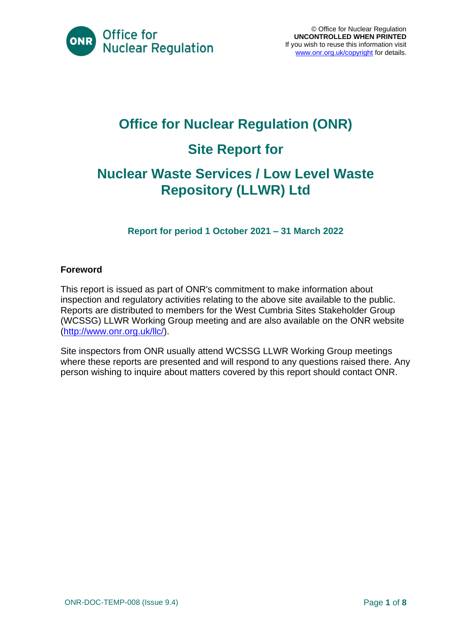

# **Office for Nuclear Regulation (ONR) Site Report for**

### **Nuclear Waste Services / Low Level Waste Repository (LLWR) Ltd**

**Report for period 1 October 2021 – 31 March 2022**

#### **Foreword**

This report is issued as part of ONR's commitment to make information about inspection and regulatory activities relating to the above site available to the public. Reports are distributed to members for the West Cumbria Sites Stakeholder Group (WCSSG) LLWR Working Group meeting and are also available on the ONR website [\(http://www.onr.org.uk/llc/\)](http://www.onr.org.uk/llc/).

Site inspectors from ONR usually attend WCSSG LLWR Working Group meetings where these reports are presented and will respond to any questions raised there. Any person wishing to inquire about matters covered by this report should contact ONR.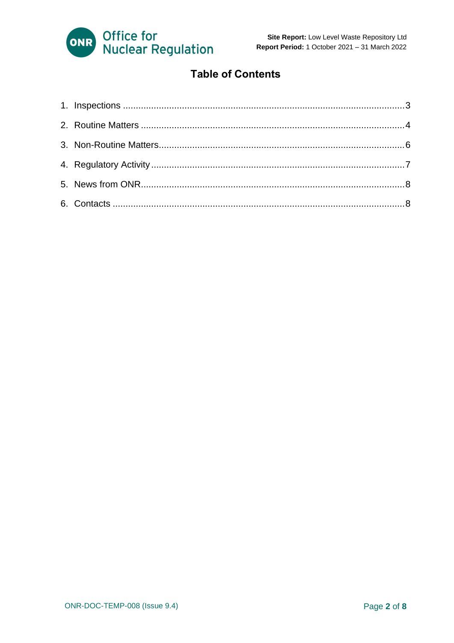

#### **Table of Contents**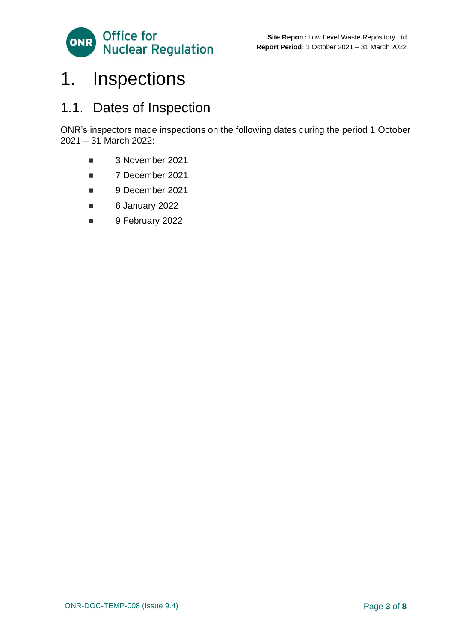

### <span id="page-2-0"></span>1. Inspections

#### 1.1. Dates of Inspection

ONR's inspectors made inspections on the following dates during the period 1 October 2021 – 31 March 2022:

- 3 November 2021
- 7 December 2021
- 9 December 2021
- 6 January 2022
- 9 February 2022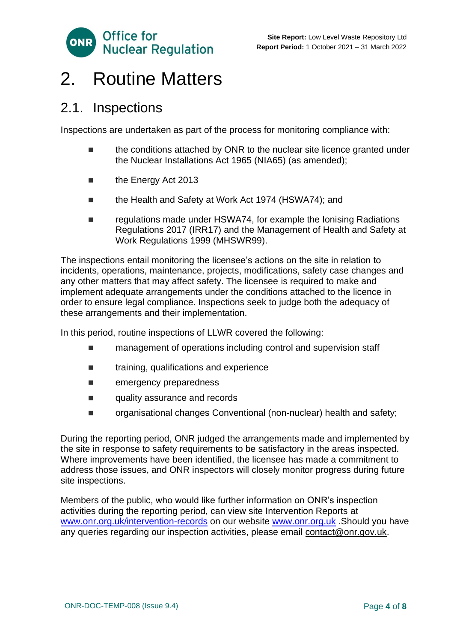

### <span id="page-3-0"></span>2. Routine Matters

#### 2.1. Inspections

Inspections are undertaken as part of the process for monitoring compliance with:

- the conditions attached by ONR to the nuclear site licence granted under the Nuclear Installations Act 1965 (NIA65) (as amended);
- the Energy Act 2013
- the Health and Safety at Work Act 1974 (HSWA74); and
- regulations made under HSWA74, for example the Ionising Radiations Regulations 2017 (IRR17) and the Management of Health and Safety at Work Regulations 1999 (MHSWR99).

The inspections entail monitoring the licensee's actions on the site in relation to incidents, operations, maintenance, projects, modifications, safety case changes and any other matters that may affect safety. The licensee is required to make and implement adequate arrangements under the conditions attached to the licence in order to ensure legal compliance. Inspections seek to judge both the adequacy of these arrangements and their implementation.

In this period, routine inspections of LLWR covered the following:

- management of operations including control and supervision staff
- training, qualifications and experience
- emergency preparedness
- quality assurance and records
- organisational changes Conventional (non-nuclear) health and safety;

During the reporting period, ONR judged the arrangements made and implemented by the site in response to safety requirements to be satisfactory in the areas inspected. Where improvements have been identified, the licensee has made a commitment to address those issues, and ONR inspectors will closely monitor progress during future site inspections.

Members of the public, who would like further information on ONR's inspection activities during the reporting period, can view site Intervention Reports at [www.onr.org.uk/intervention-records](http://www.onr.org.uk./intervention-records) on our website [www.onr.org.uk](http://www.onr.org.uk/) .Should you have any queries regarding our inspection activities, please email [contact@onr.gov.uk.](mailto:contact@onr.gov.uk)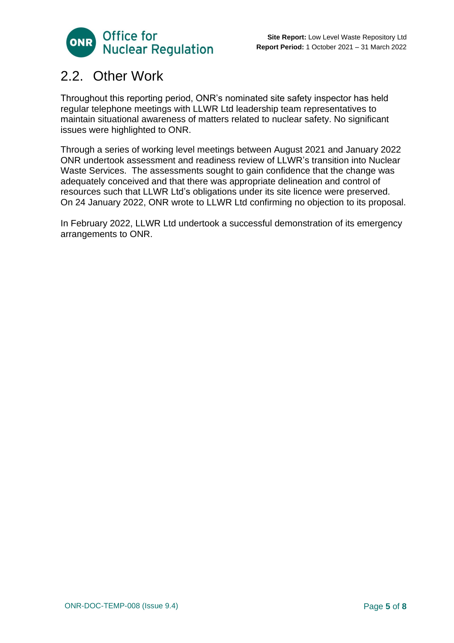

#### 2.2. Other Work

Throughout this reporting period, ONR's nominated site safety inspector has held regular telephone meetings with LLWR Ltd leadership team representatives to maintain situational awareness of matters related to nuclear safety. No significant issues were highlighted to ONR.

Through a series of working level meetings between August 2021 and January 2022 ONR undertook assessment and readiness review of LLWR's transition into Nuclear Waste Services. The assessments sought to gain confidence that the change was adequately conceived and that there was appropriate delineation and control of resources such that LLWR Ltd's obligations under its site licence were preserved. On 24 January 2022, ONR wrote to LLWR Ltd confirming no objection to its proposal.

In February 2022, LLWR Ltd undertook a successful demonstration of its emergency arrangements to ONR.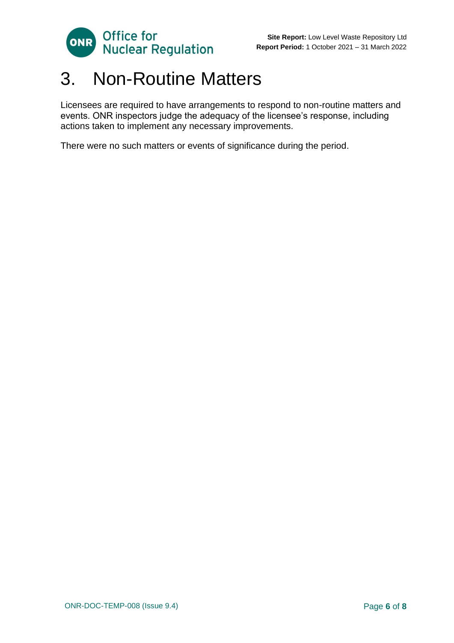

### <span id="page-5-0"></span>3. Non-Routine Matters

Licensees are required to have arrangements to respond to non-routine matters and events. ONR inspectors judge the adequacy of the licensee's response, including actions taken to implement any necessary improvements.

There were no such matters or events of significance during the period.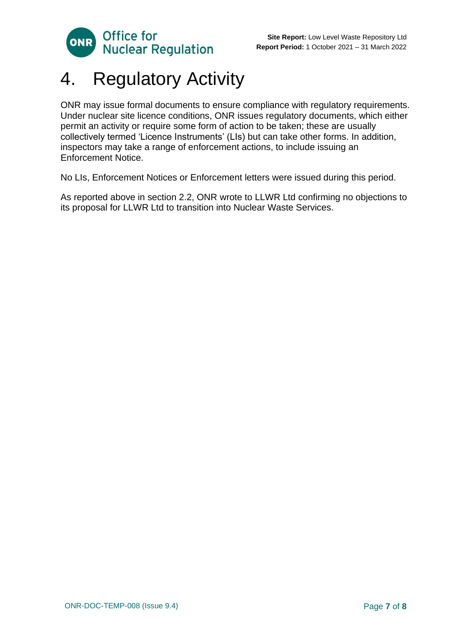

## <span id="page-6-0"></span>4. Regulatory Activity

ONR may issue formal documents to ensure compliance with regulatory requirements. Under nuclear site licence conditions, ONR issues regulatory documents, which either permit an activity or require some form of action to be taken; these are usually collectively termed 'Licence Instruments' (LIs) but can take other forms. In addition, inspectors may take a range of enforcement actions, to include issuing an Enforcement Notice.

No LIs, Enforcement Notices or Enforcement letters were issued during this period.

As reported above in section 2.2, ONR wrote to LLWR Ltd confirming no objections to its proposal for LLWR Ltd to transition into Nuclear Waste Services.